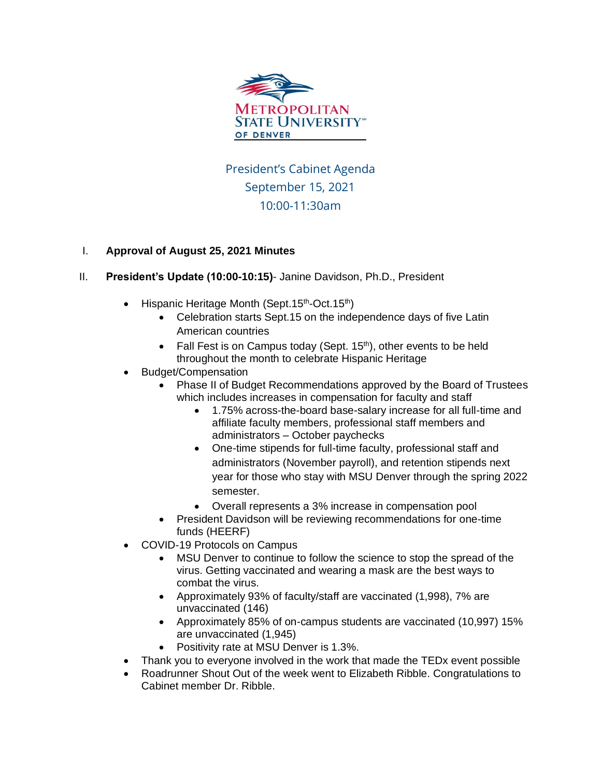

President's Cabinet Agenda September 15, 2021 10:00-11:30am

## I. **Approval of August 25, 2021 Minutes**

- II. **President's Update (10:00-10:15)** Janine Davidson, Ph.D., President
	- Hispanic Heritage Month (Sept.15<sup>th</sup>-Oct.15<sup>th</sup>)
		- Celebration starts Sept.15 on the independence days of five Latin American countries
		- Fall Fest is on Campus today (Sept.  $15<sup>th</sup>$ ), other events to be held throughout the month to celebrate Hispanic Heritage
	- Budget/Compensation
		- Phase II of Budget Recommendations approved by the Board of Trustees which includes increases in compensation for faculty and staff
			- 1.75% across-the-board base-salary increase for all full-time and affiliate faculty members, professional staff members and administrators – October paychecks
			- One-time stipends for full-time faculty, professional staff and administrators (November payroll), and retention stipends next year for those who stay with MSU Denver through the spring 2022 semester.
			- Overall represents a 3% increase in compensation pool
		- President Davidson will be reviewing recommendations for one-time funds (HEERF)
	- COVID-19 Protocols on Campus
		- MSU Denver to continue to follow the science to stop the spread of the virus. Getting vaccinated and wearing a mask are the best ways to combat the virus.
		- Approximately 93% of faculty/staff are vaccinated (1,998), 7% are unvaccinated (146)
		- Approximately 85% of on-campus students are vaccinated (10,997) 15% are unvaccinated (1,945)
		- Positivity rate at MSU Denver is 1.3%.
	- Thank you to everyone involved in the work that made the TEDx event possible
	- Roadrunner Shout Out of the week went to Elizabeth Ribble. Congratulations to Cabinet member Dr. Ribble.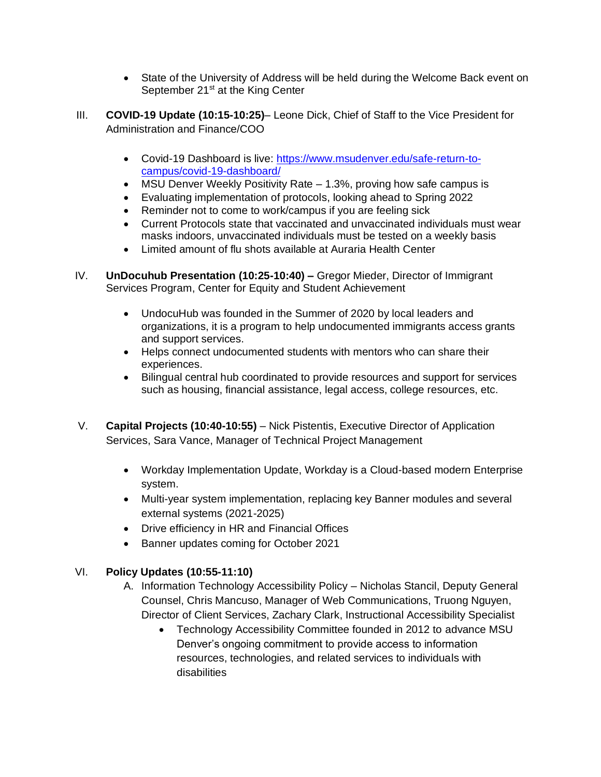- State of the University of Address will be held during the Welcome Back event on September  $21<sup>st</sup>$  at the King Center
- III. **COVID-19 Update (10:15-10:25)** Leone Dick, Chief of Staff to the Vice President for Administration and Finance/COO
	- Covid-19 Dashboard is live: [https://www.msudenver.edu/safe-return-to](https://www.msudenver.edu/safe-return-to-campus/covid-19-dashboard/)[campus/covid-19-dashboard/](https://www.msudenver.edu/safe-return-to-campus/covid-19-dashboard/)
	- MSU Denver Weekly Positivity Rate 1.3%, proving how safe campus is
	- Evaluating implementation of protocols, looking ahead to Spring 2022
	- Reminder not to come to work/campus if you are feeling sick
	- Current Protocols state that vaccinated and unvaccinated individuals must wear masks indoors, unvaccinated individuals must be tested on a weekly basis
	- Limited amount of flu shots available at Auraria Health Center
- IV. **UnDocuhub Presentation (10:25-10:40) –** Gregor Mieder, Director of Immigrant Services Program, Center for Equity and Student Achievement
	- UndocuHub was founded in the Summer of 2020 by local leaders and organizations, it is a program to help undocumented immigrants access grants and support services.
	- Helps connect undocumented students with mentors who can share their experiences.
	- Bilingual central hub coordinated to provide resources and support for services such as housing, financial assistance, legal access, college resources, etc.
- V. **Capital Projects (10:40-10:55)** Nick Pistentis, Executive Director of Application Services, Sara Vance, Manager of Technical Project Management
	- Workday Implementation Update, Workday is a Cloud-based modern Enterprise system.
	- Multi-year system implementation, replacing key Banner modules and several external systems (2021-2025)
	- Drive efficiency in HR and Financial Offices
	- Banner updates coming for October 2021

## VI. **Policy Updates (10:55-11:10)**

- A. Information Technology Accessibility Policy Nicholas Stancil, Deputy General Counsel, Chris Mancuso, Manager of Web Communications, Truong Nguyen, Director of Client Services, Zachary Clark, Instructional Accessibility Specialist
	- Technology Accessibility Committee founded in 2012 to advance MSU Denver's ongoing commitment to provide access to information resources, technologies, and related services to individuals with disabilities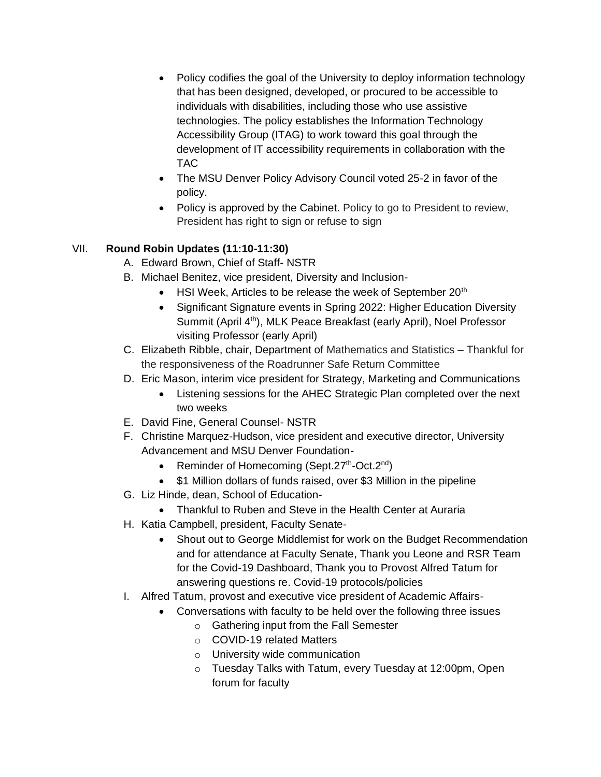- Policy codifies the goal of the University to deploy information technology that has been designed, developed, or procured to be accessible to individuals with disabilities, including those who use assistive technologies. The policy establishes the Information Technology Accessibility Group (ITAG) to work toward this goal through the development of IT accessibility requirements in collaboration with the TAC
- The MSU Denver Policy Advisory Council voted 25-2 in favor of the policy.
- Policy is approved by the Cabinet. Policy to go to President to review, President has right to sign or refuse to sign

## VII. **Round Robin Updates (11:10-11:30)**

- A. Edward Brown, Chief of Staff- NSTR
- B. Michael Benitez, vice president, Diversity and Inclusion-
	- $\bullet$  HSI Week, Articles to be release the week of September 20<sup>th</sup>
	- Significant Signature events in Spring 2022: Higher Education Diversity Summit (April 4<sup>th</sup>), MLK Peace Breakfast (early April), Noel Professor visiting Professor (early April)
- C. Elizabeth Ribble, chair, Department of Mathematics and Statistics Thankful for the responsiveness of the Roadrunner Safe Return Committee
- D. Eric Mason, interim vice president for Strategy, Marketing and Communications
	- Listening sessions for the AHEC Strategic Plan completed over the next two weeks
- E. David Fine, General Counsel- NSTR
- F. Christine Marquez-Hudson, vice president and executive director, University Advancement and MSU Denver Foundation-
	- Reminder of Homecoming (Sept.27<sup>th</sup>-Oct.2<sup>nd</sup>)
	- \$1 Million dollars of funds raised, over \$3 Million in the pipeline
- G. Liz Hinde, dean, School of Education-
	- Thankful to Ruben and Steve in the Health Center at Auraria
- H. Katia Campbell, president, Faculty Senate-
	- Shout out to George Middlemist for work on the Budget Recommendation and for attendance at Faculty Senate, Thank you Leone and RSR Team for the Covid-19 Dashboard, Thank you to Provost Alfred Tatum for answering questions re. Covid-19 protocols/policies
- I. Alfred Tatum, provost and executive vice president of Academic Affairs-
	- Conversations with faculty to be held over the following three issues
		- o Gathering input from the Fall Semester
		- o COVID-19 related Matters
		- o University wide communication
		- o Tuesday Talks with Tatum, every Tuesday at 12:00pm, Open forum for faculty